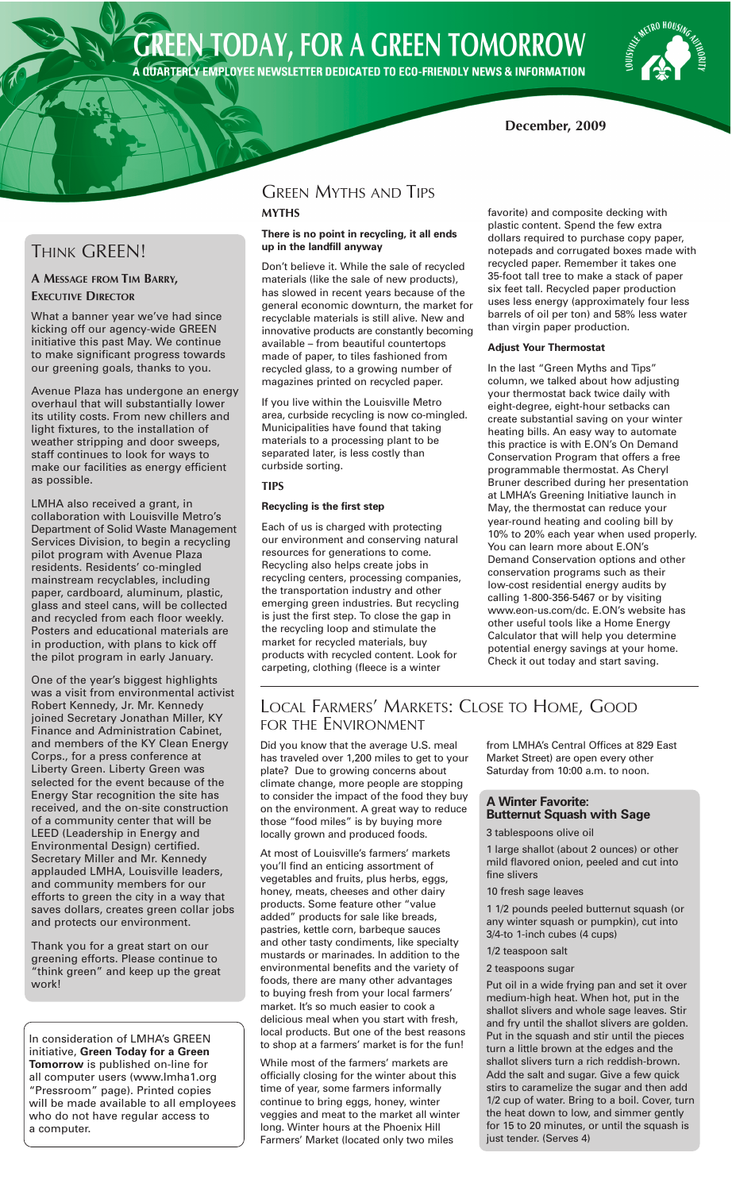# **GREEN TODAY, FOR A GREEN TOMORROW** A QUARTERLY EMPLOYEE NEWSLETTER DEDICATED TO ECO-FRIENDLY NEWS & INFORMATION

**METRO HOUSING** 

## **December, 2009**

# THINK GREEN!

### **A MESSAGE FROM TIM BARRY, EXECUTIVE DIRECTOR**

What a banner year we've had since kicking off our agency-wide GREEN initiative this past May. We continue to make significant progress towards our greening goals, thanks to you.

Avenue Plaza has undergone an energy overhaul that will substantially lower its utility costs. From new chillers and light fixtures, to the installation of weather stripping and door sweeps, staff continues to look for ways to make our facilities as energy efficient as possible.

LMHA also received a grant, in collaboration with Louisville Metro's Department of Solid Waste Management Services Division, to begin a recycling pilot program with Avenue Plaza residents. Residents' co-mingled mainstream recyclables, including paper, cardboard, aluminum, plastic, glass and steel cans, will be collected and recycled from each floor weekly. Posters and educational materials are in production, with plans to kick off the pilot program in early January.

One of the year's biggest highlights was a visit from environmental activist Robert Kennedy, Jr. Mr. Kennedy joined Secretary Jonathan Miller, KY Finance and Administration Cabinet, and members of the KY Clean Energy Corps., for a press conference at Liberty Green. Liberty Green was selected for the event because of the Energy Star recognition the site has received, and the on-site construction of a community center that will be LEED (Leadership in Energy and Environmental Design) certified. Secretary Miller and Mr. Kennedy applauded LMHA, Louisville leaders, and community members for our efforts to green the city in a way that saves dollars, creates green collar jobs and protects our environment.

Thank you for a great start on our greening efforts. Please continue to "think green" and keep up the great work!

In consideration of LMHA's GREEN initiative, **Green Today for a Green Tomorrow** is published on-line for all computer users (www.lmha1.org "Pressroom" page). Printed copies will be made available to all employees who do not have regular access to a computer.

# GREEN MYTHS AND TIPS

### **MYTHS**

#### **There is no point in recycling, it all ends up in the landfill anyway**

Don't believe it. While the sale of recycled materials (like the sale of new products), has slowed in recent years because of the general economic downturn, the market for recyclable materials is still alive. New and innovative products are constantly becoming available – from beautiful countertops made of paper, to tiles fashioned from recycled glass, to a growing number of magazines printed on recycled paper.

If you live within the Louisville Metro area, curbside recycling is now co-mingled. Municipalities have found that taking materials to a processing plant to be separated later, is less costly than curbside sorting.

### **TIPS**

### **Recycling is the first step**

Each of us is charged with protecting our environment and conserving natural resources for generations to come. Recycling also helps create jobs in recycling centers, processing companies, the transportation industry and other emerging green industries. But recycling is just the first step. To close the gap in the recycling loop and stimulate the market for recycled materials, buy products with recycled content. Look for carpeting, clothing (fleece is a winter

favorite) and composite decking with plastic content. Spend the few extra dollars required to purchase copy paper, notepads and corrugated boxes made with recycled paper. Remember it takes one 35-foot tall tree to make a stack of paper six feet tall. Recycled paper production uses less energy (approximately four less barrels of oil per ton) and 58% less water than virgin paper production.

### **Adjust Your Thermostat**

In the last "Green Myths and Tips" column, we talked about how adjusting your thermostat back twice daily with eight-degree, eight-hour setbacks can create substantial saving on your winter heating bills. An easy way to automate this practice is with E.ON's On Demand Conservation Program that offers a free programmable thermostat. As Cheryl Bruner described during her presentation at LMHA's Greening Initiative launch in May, the thermostat can reduce your year-round heating and cooling bill by 10% to 20% each year when used properly. You can learn more about E.ON's Demand Conservation options and other conservation programs such as their low-cost residential energy audits by calling 1-800-356-5467 or by visiting www.eon-us.com/dc. E.ON's website has other useful tools like a Home Energy Calculator that will help you determine potential energy savings at your home. Check it out today and start saving.

# LOCAL FARMERS' MARKETS: CLOSE TO HOME, GOOD FOR THE ENVIRONMENT

Did you know that the average U.S. meal has traveled over 1,200 miles to get to your plate? Due to growing concerns about climate change, more people are stopping to consider the impact of the food they buy on the environment. A great way to reduce those "food miles" is by buying more locally grown and produced foods.

At most of Louisville's farmers' markets you'll find an enticing assortment of vegetables and fruits, plus herbs, eggs, honey, meats, cheeses and other dairy products. Some feature other "value added" products for sale like breads, pastries, kettle corn, barbeque sauces and other tasty condiments, like specialty mustards or marinades. In addition to the environmental benefits and the variety of foods, there are many other advantages to buying fresh from your local farmers' market. It's so much easier to cook a delicious meal when you start with fresh, local products. But one of the best reasons to shop at a farmers' market is for the fun!

While most of the farmers' markets are officially closing for the winter about this time of year, some farmers informally continue to bring eggs, honey, winter veggies and meat to the market all winter long. Winter hours at the Phoenix Hill Farmers' Market (located only two miles

from LMHA's Central Offices at 829 East Market Street) are open every other Saturday from 10:00 a.m. to noon.

### **A Winter Favorite: Butternut Squash with Sage**

### 3 tablespoons olive oil

1 large shallot (about 2 ounces) or other mild flavored onion, peeled and cut into fine slivers

10 fresh sage leaves

1 1/2 pounds peeled butternut squash (or any winter squash or pumpkin), cut into 3/4-to 1-inch cubes (4 cups)

#### 1/2 teaspoon salt

### 2 teaspoons sugar

Put oil in a wide frying pan and set it over medium-high heat. When hot, put in the shallot slivers and whole sage leaves. Stir and fry until the shallot slivers are golden. Put in the squash and stir until the pieces turn a little brown at the edges and the shallot slivers turn a rich reddish-brown. Add the salt and sugar. Give a few quick stirs to caramelize the sugar and then add 1/2 cup of water. Bring to a boil. Cover, turn the heat down to low, and simmer gently for 15 to 20 minutes, or until the squash is just tender. (Serves 4)